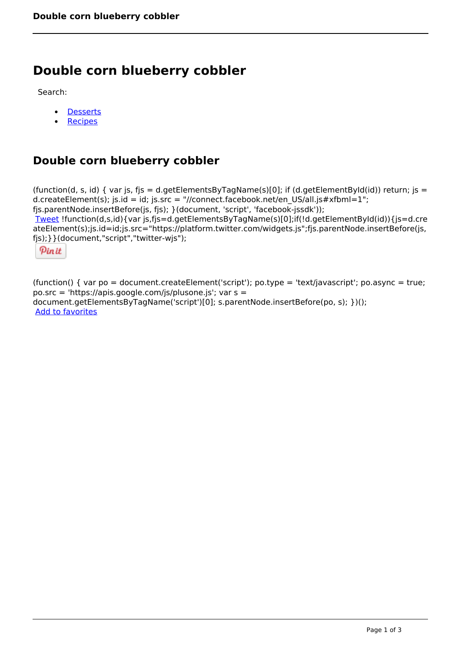## **Double corn blueberry cobbler**

Search:

- **[Desserts](https://www.naturalhealthmag.com.au/nourish/desserts)**  $\bullet$
- [Recipes](https://www.naturalhealthmag.com.au/nourish/recipes)

## **Double corn blueberry cobbler**

(function(d, s, id) { var js, fjs = d.getElementsByTagName(s)[0]; if (d.getElementById(id)) return; js = d.createElement(s); js.id = id; js.src = "//connect.facebook.net/en\_US/all.js#xfbml=1"; fjs.parentNode.insertBefore(js, fjs); }(document, 'script', 'facebook-jssdk')); [Tweet](https://twitter.com/share) !function(d,s,id){var js,fjs=d.getElementsByTagName(s)[0];if(!d.getElementById(id)){js=d.cre ateElement(s);js.id=id;js.src="https://platform.twitter.com/widgets.js";fjs.parentNode.insertBefore(js, fjs);}}(document,"script","twitter-wjs");

Pinit

(function() { var po = document.createElement('script'); po.type = 'text/javascript'; po.async = true; po.src = 'https://apis.google.com/js/plusone.js'; var s = document.getElementsByTagName('script')[0]; s.parentNode.insertBefore(po, s); })(); Add to favorites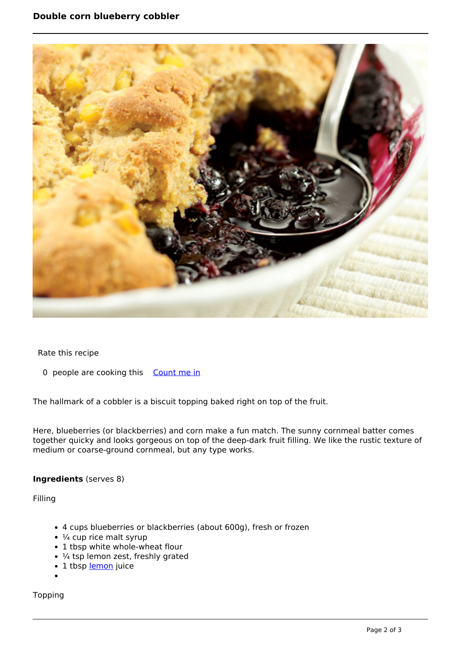

Rate this recipe

0 people are cooking this [Count me in](https://www.naturalhealthmag.com.au/flag/flag/favorites/1415?destination=printpdf%2F1415&token=64fdf33c481f2638a94fbc8e31500fff)

The hallmark of a cobbler is a biscuit topping baked right on top of the fruit.

Here, blueberries (or blackberries) and corn make a fun match. The sunny cornmeal batter comes together quicky and looks gorgeous on top of the deep-dark fruit filling. We like the rustic texture of medium or coarse-ground cornmeal, but any type works.

## **Ingredients** (serves 8)

Filling

- 4 cups blueberries or blackberries (about 600g), fresh or frozen
- $\cdot$  ¼ cup rice malt syrup
- 1 tbsp white whole-wheat flour
- $\cdot$  ¼ tsp lemon zest, freshly grated
- $\cdot$  1 tbsp <u>lemon</u> juice
- 

Topping